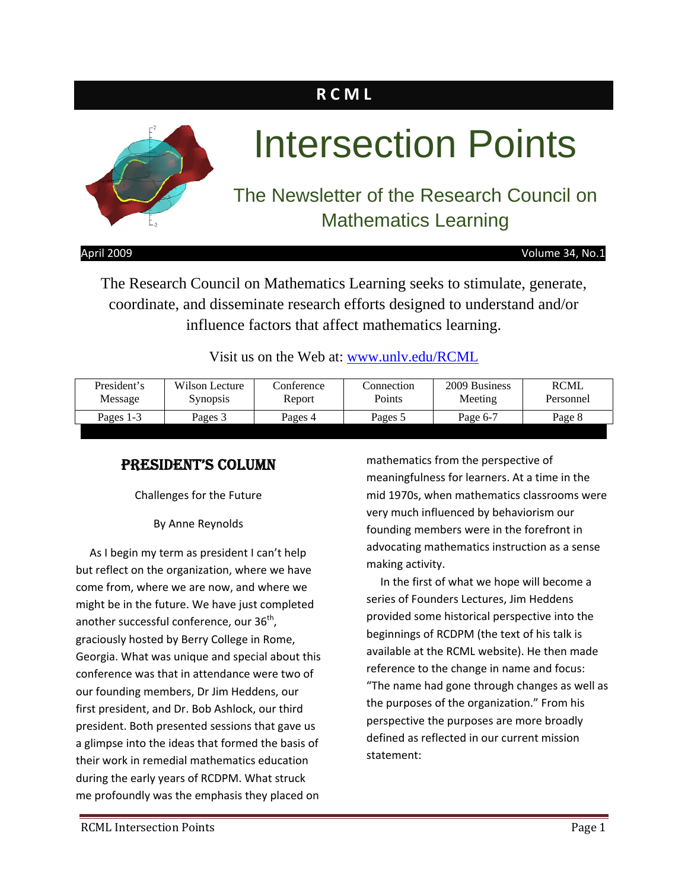### **R C M L**



# Intersection Points

### The Newsletter of the Research Council on Mathematics Learning

April 2009 Volume 34, No.1

The Research Council on Mathematics Learning seeks to stimulate, generate, coordinate, and disseminate research efforts designed to understand and/or influence factors that affect mathematics learning.

Visit us on the Web at: www.unly.edu/RCML

| President's | Wilson Lecture  | Conference | Connection. | 2009 Business | <b>RCML</b> |
|-------------|-----------------|------------|-------------|---------------|-------------|
| Message     | <b>Synopsis</b> | Report     | Points      | Meeting       | Personnel   |
| Pages 1-3   | Pages 3         | Pages 4    | Pages 5     | Page 6-7      |             |

### PRESIDENT'S COLUMN

Challenges for the Future

By Anne Reynolds

 As I begin my term as president I can't help but reflect on the organization, where we have come from, where we are now, and where we might be in the future. We have just completed another successful conference, our  $36<sup>th</sup>$ , graciously hosted by Berry College in Rome, Georgia. What was unique and special about this conference was that in attendance were two of our founding members, Dr Jim Heddens, our first president, and Dr. Bob Ashlock, our third president. Both presented sessions that gave us a glimpse into the ideas that formed the basis of their work in remedial mathematics education during the early years of RCDPM. What struck me profoundly was the emphasis they placed on

mathematics from the perspective of meaningfulness for learners. At a time in the mid 1970s, when mathematics classrooms were very much influenced by behaviorism our founding members were in the forefront in advocating mathematics instruction as a sense making activity.

 In the first of what we hope will become a series of Founders Lectures, Jim Heddens provided some historical perspective into the beginnings of RCDPM (the text of his talk is available at the RCML website). He then made reference to the change in name and focus: "The name had gone through changes as well as the purposes of the organization." From his perspective the purposes are more broadly defined as reflected in our current mission statement: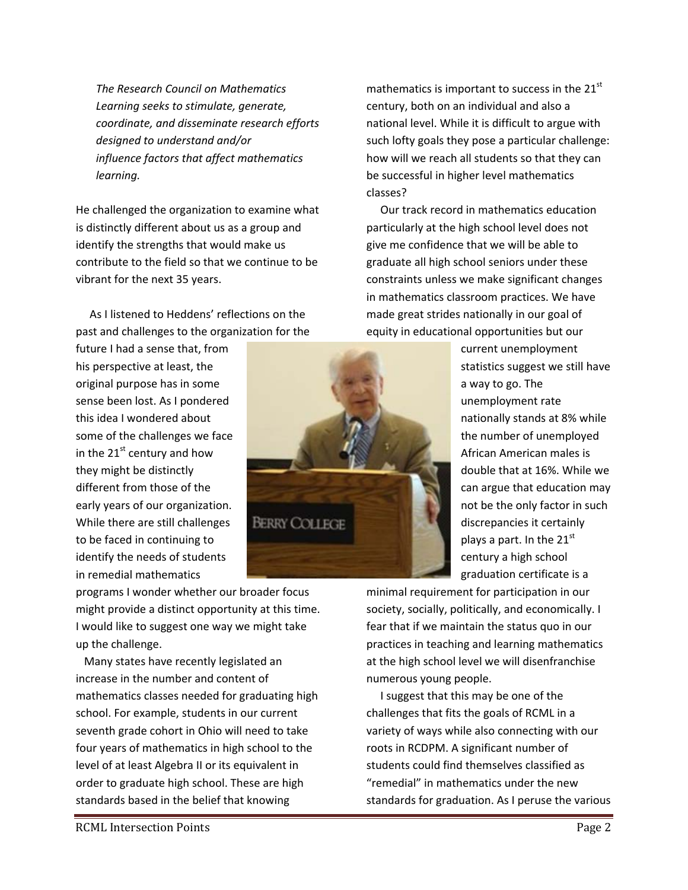*The Research Council on Mathematics Learning seeks to stimulate, generate, coordinate, and disseminate research efforts designed to understand and/or influence factors that affect mathematics learning.*

He challenged the organization to examine what is distinctly different about us as a group and identify the strengths that would make us contribute to the field so that we continue to be vibrant for the next 35 years.

 As I listened to Heddens' reflections on the past and challenges to the organization for the

future I had a sense that, from his perspective at least, the original purpose has in some sense been lost. As I pondered this idea I wondered about some of the challenges we face in the  $21^{st}$  century and how they might be distinctly different from those of the early years of our organization. While there are still challenges to be faced in continuing to identify the needs of students in remedial mathematics

programs I wonder whether our broader focus might provide a distinct opportunity at this time. I would like to suggest one way we might take up the challenge.

 Many states have recently legislated an increase in the number and content of mathematics classes needed for graduating high school. For example, students in our current seventh grade cohort in Ohio will need to take four years of mathematics in high school to the level of at least Algebra II or its equivalent in order to graduate high school. These are high standards based in the belief that knowing



mathematics is important to success in the  $21<sup>st</sup>$ century, both on an individual and also a national level. While it is difficult to argue with such lofty goals they pose a particular challenge: how will we reach all students so that they can be successful in higher level mathematics classes?

 Our track record in mathematics education particularly at the high school level does not give me confidence that we will be able to graduate all high school seniors under these constraints unless we make significant changes in mathematics classroom practices. We have made great strides nationally in our goal of equity in educational opportunities but our

> current unemployment statistics suggest we still have a way to go. The unemployment rate nationally stands at 8% while the number of unemployed African American males is double that at 16%. While we can argue that education may not be the only factor in such discrepancies it certainly plays a part. In the  $21<sup>st</sup>$ century a high school graduation certificate is a

minimal requirement for participation in our society, socially, politically, and economically. I fear that if we maintain the status quo in our practices in teaching and learning mathematics at the high school level we will disenfranchise numerous young people.

 I suggest that this may be one of the challenges that fits the goals of RCML in a variety of ways while also connecting with our roots in RCDPM. A significant number of students could find themselves classified as "remedial" in mathematics under the new standards for graduation. As I peruse the various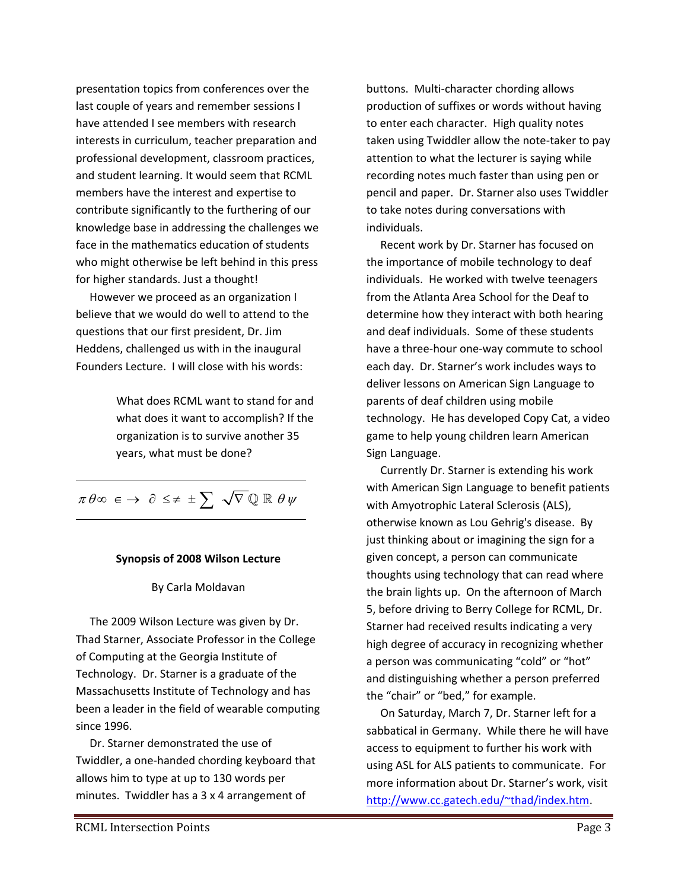presentation topics from conferences over the last couple of years and remember sessions I have attended I see members with research interests in curriculum, teacher preparation and professional development, classroom practices, and student learning. It would seem that RCML members have the interest and expertise to contribute significantly to the furthering of our knowledge base in addressing the challenges we face in the mathematics education of students who might otherwise be left behind in this press for higher standards. Just a thought!

 However we proceed as an organization I believe that we would do well to attend to the questions that our first president, Dr. Jim Heddens, challenged us with in the inaugural Founders Lecture. I will close with his words:

> What does RCML want to stand for and what does it want to accomplish? If the organization is to survive another 35 years, what must be done?

 $\pi\hspace{0.04cm}\theta \infty \hspace{0.1cm} \in \hspace{0.1cm} \to \hspace{0.1cm} \partial \hspace{0.1cm} \leq \neq \hspace{0.1cm} \pm \hspace{0.1cm} \sum \hspace{0.1cm} \sqrt{\nabla \hspace{0.1cm}} \mathbb{Q} \hspace{0.1cm} \mathbb{R} \hspace{0.1cm} \theta \hspace{0.1cm} \psi$ 

#### **Synopsis of 2008 Wilson Lecture**

#### By Carla Moldavan

 The 2009 Wilson Lecture was given by Dr. Thad Starner, Associate Professor in the College of Computing at the Georgia Institute of Technology. Dr. Starner is a graduate of the Massachusetts Institute of Technology and has been a leader in the field of wearable computing since 1996.

 Dr. Starner demonstrated the use of Twiddler, a one‐handed chording keyboard that allows him to type at up to 130 words per minutes. Twiddler has a 3 x 4 arrangement of

buttons. Multi‐character chording allows production of suffixes or words without having to enter each character. High quality notes taken using Twiddler allow the note‐taker to pay attention to what the lecturer is saying while recording notes much faster than using pen or pencil and paper. Dr. Starner also uses Twiddler to take notes during conversations with individuals.

 Recent work by Dr. Starner has focused on the importance of mobile technology to deaf individuals. He worked with twelve teenagers from the Atlanta Area School for the Deaf to determine how they interact with both hearing and deaf individuals. Some of these students have a three‐hour one‐way commute to school each day. Dr. Starner's work includes ways to deliver lessons on American Sign Language to parents of deaf children using mobile technology. He has developed Copy Cat, a video game to help young children learn American Sign Language.

 Currently Dr. Starner is extending his work with American Sign Language to benefit patients with Amyotrophic Lateral Sclerosis (ALS), otherwise known as Lou Gehrig's disease. By just thinking about or imagining the sign for a given concept, a person can communicate thoughts using technology that can read where the brain lights up. On the afternoon of March 5, before driving to Berry College for RCML, Dr. Starner had received results indicating a very high degree of accuracy in recognizing whether a person was communicating "cold" or "hot" and distinguishing whether a person preferred the "chair" or "bed," for example.

 On Saturday, March 7, Dr. Starner left for a sabbatical in Germany. While there he will have access to equipment to further his work with using ASL for ALS patients to communicate. For more information about Dr. Starner's work, visit http://www.cc.gatech.edu/~thad/index.htm.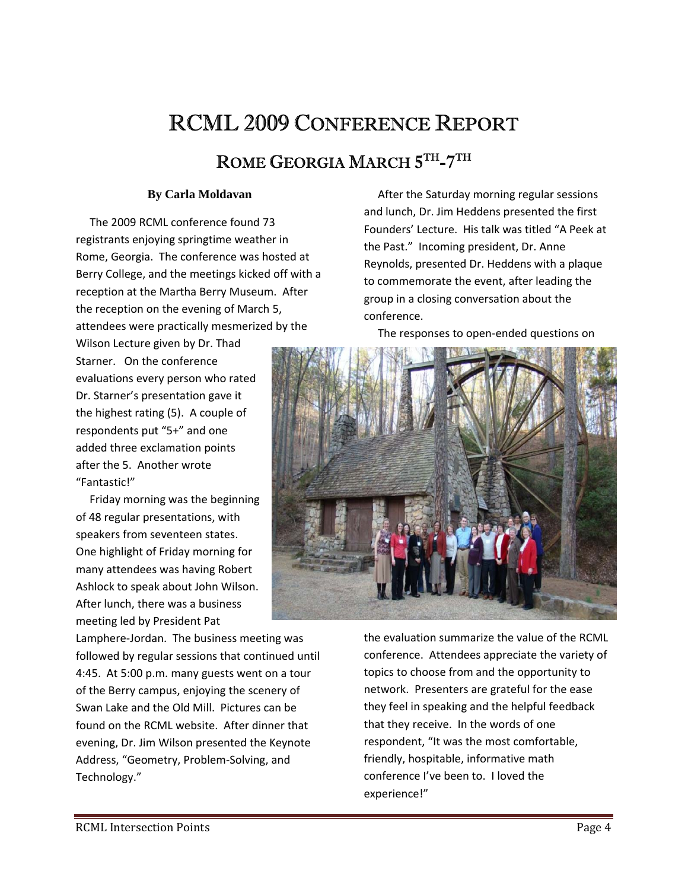## RCML 2009 CONFERENCE REPORT

### ROME GEORGIA MARCH  $5^{\text{TH}}$ -7TH

#### **By Carla Moldavan**

 The 2009 RCML conference found 73 registrants enjoying springtime weather in Rome, Georgia. The conference was hosted at Berry College, and the meetings kicked off with a reception at the Martha Berry Museum. After the reception on the evening of March 5, attendees were practically mesmerized by the

Wilson Lecture given by Dr. Thad Starner. On the conference evaluations every person who rated Dr. Starner's presentation gave it the highest rating (5). A couple of respondents put "5+" and one added three exclamation points after the 5. Another wrote "Fantastic!"

 Friday morning was the beginning of 48 regular presentations, with speakers from seventeen states. One highlight of Friday morning for many attendees was having Robert Ashlock to speak about John Wilson. After lunch, there was a business meeting led by President Pat

Lamphere‐Jordan. The business meeting was followed by regular sessions that continued until 4:45. At 5:00 p.m. many guests went on a tour of the Berry campus, enjoying the scenery of Swan Lake and the Old Mill. Pictures can be found on the RCML website. After dinner that evening, Dr. Jim Wilson presented the Keynote Address, "Geometry, Problem‐Solving, and Technology."

 After the Saturday morning regular sessions and lunch, Dr. Jim Heddens presented the first Founders' Lecture. His talk was titled "A Peek at the Past." Incoming president, Dr. Anne Reynolds, presented Dr. Heddens with a plaque to commemorate the event, after leading the group in a closing conversation about the conference.

The responses to open‐ended questions on



the evaluation summarize the value of the RCML conference. Attendees appreciate the variety of topics to choose from and the opportunity to network. Presenters are grateful for the ease they feel in speaking and the helpful feedback that they receive. In the words of one respondent, "It was the most comfortable, friendly, hospitable, informative math conference I've been to. I loved the experience!"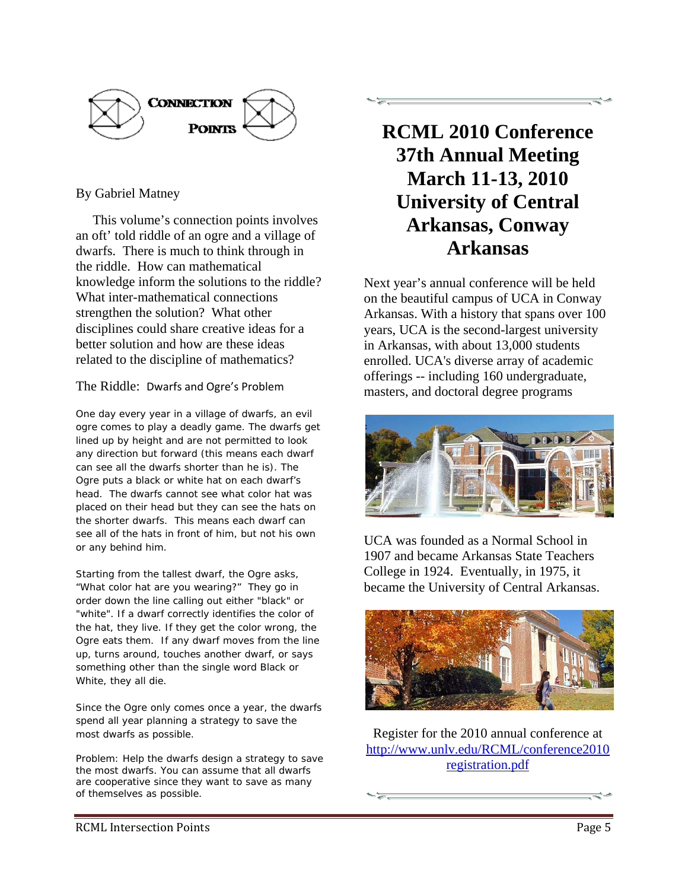

### By Gabriel Matney

 This volume's connection points involves an oft' told riddle of an ogre and a village of dwarfs. There is much to think through in the riddle. How can mathematical knowledge inform the solutions to the riddle? What inter-mathematical connections strengthen the solution? What other disciplines could share creative ideas for a better solution and how are these ideas related to the discipline of mathematics?

#### The Riddle: Dwarfs and Ogre's Problem

*One day every year in a village of dwarfs, an evil ogre comes to play a deadly game. The dwarfs get lined up by height and are not permitted to look any direction but forward (this means each dwarf can see all the dwarfs shorter than he is). The Ogre puts a black or white hat on each dwarf's head. The dwarfs cannot see what color hat was placed on their head but they can see the hats on the shorter dwarfs. This means each dwarf can see all of the hats in front of him, but not his own or any behind him.* 

*Starting from the tallest dwarf, the Ogre asks, "What color hat are you wearing?" They go in order down the line calling out either "black" or "white". If a dwarf correctly identifies the color of the hat, they live. If they get the color wrong, the Ogre eats them. If any dwarf moves from the line up, turns around, touches another dwarf, or says something other than the single word Black or White, they all die.* 

*Since the Ogre only comes once a year, the dwarfs spend all year planning a strategy to save the most dwarfs as possible.* 

*Problem: Help the dwarfs design a strategy to save the most dwarfs. You can assume that all dwarfs are cooperative since they want to save as many of themselves as possible.*



Next year's annual conference will be held on the beautiful campus of UCA in Conway Arkansas. With a history that spans over 100 years, UCA is the second-largest university in Arkansas, with about 13,000 students enrolled. UCA's diverse array of academic offerings -- including 160 undergraduate, masters, and doctoral degree programs



UCA was founded as a Normal School in 1907 and became Arkansas State Teachers College in 1924. Eventually, in 1975, it became the University of Central Arkansas.



Register for the 2010 annual conference at http://www.unlv.edu/RCML/conference2010 registration.pdf

RCML Intersection Points Page 5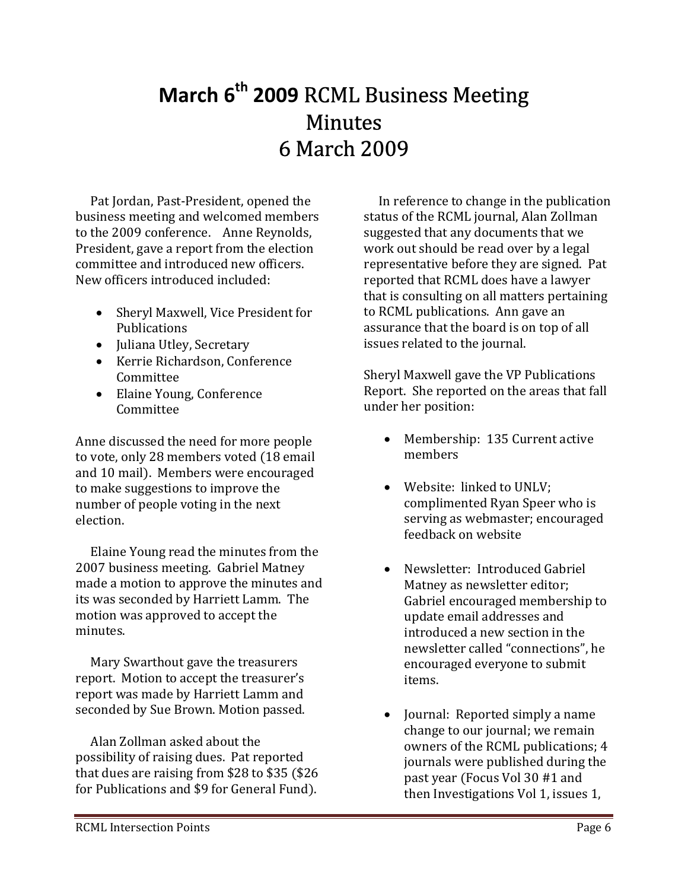### **March 6th 2009** RCML Business Meeting Minutes 6 March 2009

 Pat Jordan, Past‐President, opened the business meeting and welcomed members to the 2009 conference. Anne Reynolds, President, gave a report from the election committee and introduced new officers. New officers introduced included:

- Sheryl Maxwell, Vice President for Publications
- Juliana Utley, Secretary
- Kerrie Richardson, Conference Committee
- Elaine Young, Conference Committee

Anne discussed the need for more people to vote, only 28 members voted (18 email and 10 mail). Members were encouraged to make suggestions to improve the number of people voting in the next election.

 Elaine Young read the minutes from the 2007 business meeting. Gabriel Matney made a motion to approve the minutes and its was seconded by Harriett Lamm. The motion was approved to accept the minutes.

 Mary Swarthout gave the treasurers report. Motion to accept the treasurer's report was made by Harriett Lamm and seconded by Sue Brown. Motion passed.

 Alan Zollman asked about the possibility of raising dues. Pat reported that dues are raising from  $$28$  to  $$35$  ( $$26$ ) for Publications and \$9 for General Fund).

 In reference to change in the publication status of the RCML journal, Alan Zollman suggested that any documents that we work out should be read over by a legal representative before they are signed. Pat reported that RCML does have a lawyer that is consulting on all matters pertaining to RCML publications. Ann gave an assurance that the board is on top of all issues related to the journal.

Sheryl Maxwell gave the VP Publications Report. She reported on the areas that fall under her position:

- Membership: 135 Current active members
- Website: linked to UNLV; complimented Ryan Speer who is serving as webmaster; encouraged feedback on website
- Newsletter: Introduced Gabriel Matney as newsletter editor; Gabriel encouraged membership to update email addresses and introduced a new section in the newsletter called "connections", he encouraged everyone to submit items.
- Journal: Reported simply a name change to our journal; we remain owners of the RCML publications; 4 journals were published during the past year (Focus Vol 30 #1 and then Investigations Vol 1, issues 1,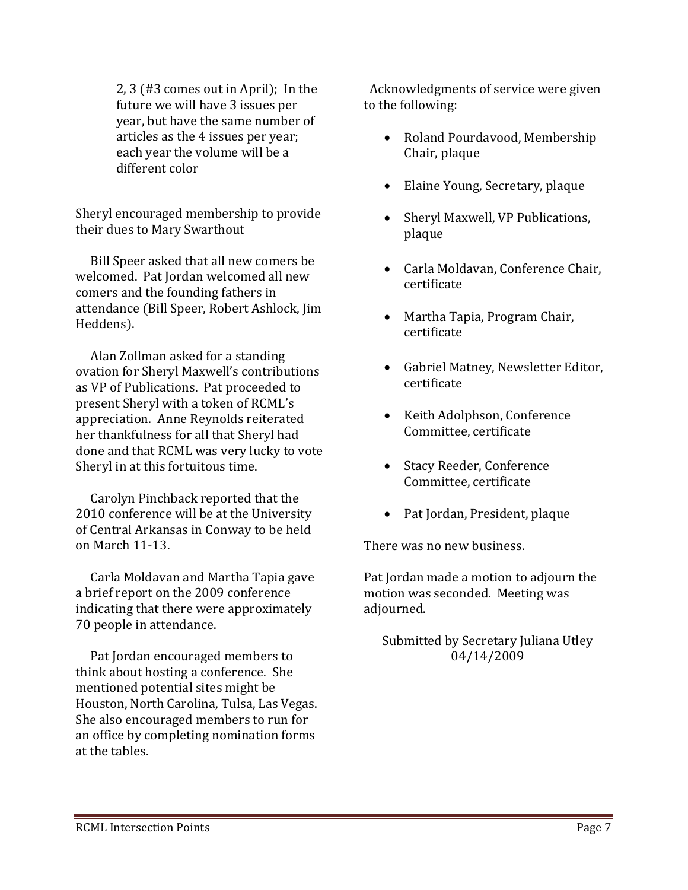$2, 3$  (#3 comes out in April); In the future we will have 3 issues per year, but have the same number of articles as the 4 issues per year; each year the volume will be a different color

Sheryl encouraged membership to provide their dues to Mary Swarthout

 Bill Speer asked that all new comers be welcomed. Pat Jordan welcomed all new comers and the founding fathers in attendance (Bill Speer, Robert Ashlock, Jim Heddens).

 Alan Zollman asked for a standing ovation for Sheryl Maxwell's contributions as VP of Publications. Pat proceeded to present Sheryl with a token of RCML's appreciation. Anne Reynolds reiterated her thankfulness for all that Sheryl had done and that RCML was very lucky to vote Sheryl in at this fortuitous time.

 Carolyn Pinchback reported that the 2010 conference will be at the University of Central Arkansas in Conway to be held on March 11‐13.

 Carla Moldavan and Martha Tapia gave a brief report on the 2009 conference indicating that there were approximately 70 people in attendance.

 Pat Jordan encouraged members to think about hosting a conference. She mentioned potential sites might be Houston, North Carolina, Tulsa, Las Vegas. She also encouraged members to run for an office by completing nomination forms at the tables.

 Acknowledgments of service were given to the following:

- Roland Pourdavood, Membership Chair, plaque
- Elaine Young, Secretary, plaque
- Sheryl Maxwell, VP Publications, plaque
- Carla Moldavan, Conference Chair, certificate
- Martha Tapia, Program Chair, certificate
- Gabriel Matney, Newsletter Editor, certificate
- Keith Adolphson, Conference Committee, certificate
- Stacy Reeder, Conference Committee, certificate
- Pat Jordan, President, plaque

There was no new business.

Pat Jordan made a motion to adjourn the motion was seconded. Meeting was adjourned.

Submitted by Secretary Juliana Utley 04/14/2009